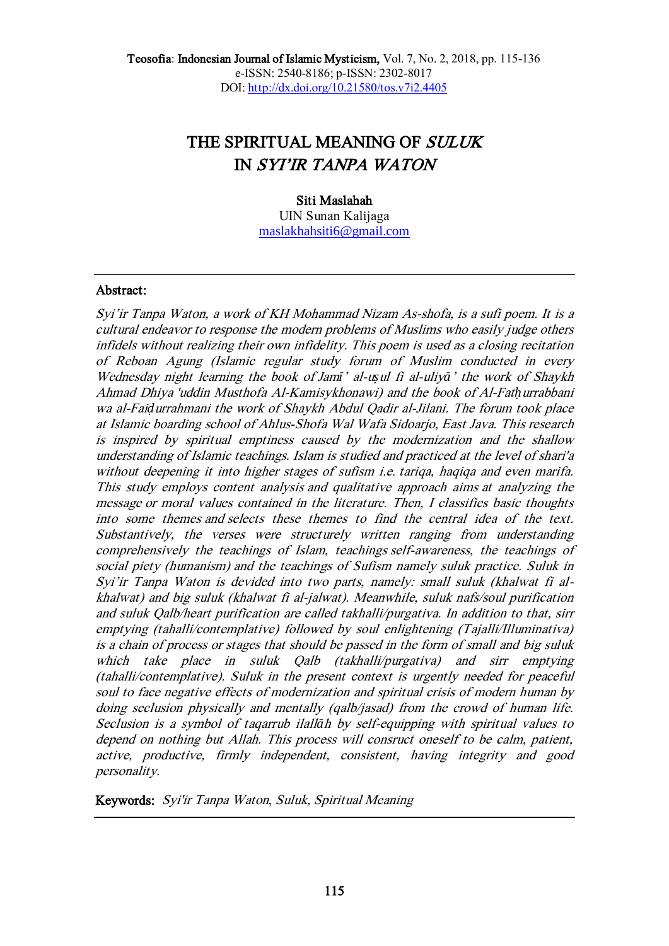# THE SPIRITUAL MEANING OF SULUK IN SYI'IR TANPA WATON

# Siti Maslahah

UIN Sunan Kalijaga [maslakhahsiti6@gmail.com](mailto:maslakhahsiti6@gmail.com)

# Abstract:

Syi'ir Tanpa Waton, <sup>a</sup> work of KH Mohammad Nizam As-shofa, is a sufi poem. It is <sup>a</sup> cultural endeavor to response the modern problems of Muslims who easily judge others infidels without realizing their own infidelity. This poem is used as a closing recitation of Reboan Agung (Islamic regular study forum of Muslim conducted in every Wednesday night learning the book of Jam*ī*' al-u*ṣ*ul fi al-uliy*ā*' the work of Shaykh Ahmad Dhiya 'uddin Musthofa Al-Kamisykhonawi) and the book of Al-Fat*ḥ*urrabbani wa al-Fai*ḍ*urrahmani the work of Shaykh Abdul Qadir al-Jilani. The forum took place at Islamic boarding school of Ahlus-Shofa Wal Wafa Sidoarjo, East Java. This research is inspired by spiritual emptiness caused by the modernization and the shallow understanding of Islamic teachings. Islam is studied and practiced at the level of shari'a without deepening it into higher stages of sufism i.e. tariqa, haqiqa and even marifa. This study employs content analysis and qualitative approach aims at analyzing the message or moral values contained in the literature. Then, I classifies basic thoughts into some themes and selects these themes to find the central idea of the text. Substantively, the verses were structurely written ranging from understanding comprehensively the teachings of Islam, teachings self-awareness, the teachings of social piety (humanism) and the teachings of Sufism namely suluk practice. Suluk in Syi'ir Tanpa Waton is devided into two parts, namely: small suluk (khalwat fi alkhalwat) and big suluk (khalwat fi al-jalwat). Meanwhile, suluk nafs/soul purification and suluk Qalb/heart purification are called takhalli/purgativa. In addition to that, sirr emptying (tahalli/contemplative) followed by soul enlightening (Tajalli/Illuminativa) is a chain of process or stages that should be passed in the form of small and big suluk which take place in suluk Qalb (takhalli/purgativa) and sirr emptying (tahalli/contemplative). Suluk in the present context is urgently needed for peaceful soul to face negative effects of modernization and spiritual crisis of modern human by doing seclusion physically and mentally (qalb/jasad) from the crowd of human life. Seclusion is a symbol of taqarrub ilall*ā*h by self-equipping with spiritual values to depend on nothing but Allah. This process will consruct oneself to be calm, patient, active, productive, firmly independent, consistent, having integrity and good personality.

Keywords: Syi'ir Tanpa Waton, Suluk, Spiritual Meaning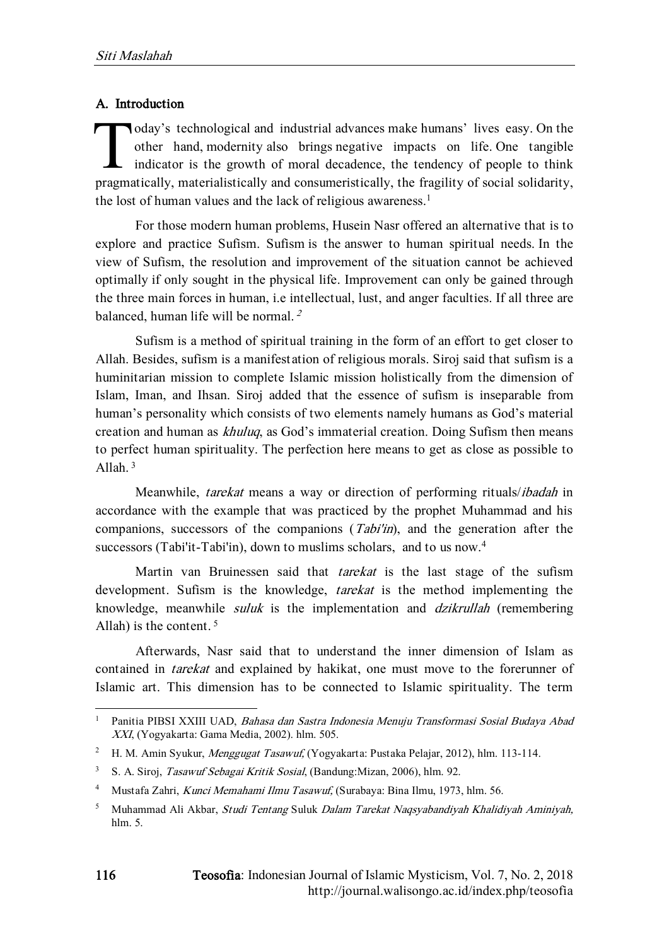# A. Introduction

oday's technological and industrial advances make humans' lives easy. On the other hand, modernity also brings negative impacts on life. One tangible indicator is the growth of moral decadence, the tendency of people to think pragmatically, materialistically and consumeristically, the fragility of social solidarity, the lost of human values and the lack of religious awareness. 1 T

For those modern human problems, Husein Nasr offered an alternative that is to explore and practice Sufism. Sufism is the answer to human spiritual needs. In the view of Sufism, the resolution and improvement of the situation cannot be achieved optimally if only sought in the physical life. Improvement can only be gained through the three main forces in human, i.e intellectual, lust, and anger faculties. If all three are balanced, human life will be normal. <sup>2</sup>

Sufism is a method of spiritual training in the form of an effort to get closer to Allah. Besides, sufism is a manifestation of religious morals. Siroj said that sufism is a huminitarian mission to complete Islamic mission holistically from the dimension of Islam, Iman, and Ihsan. Siroj added that the essence of sufism is inseparable from human's personality which consists of two elements namely humans as God's material creation and human as khuluq, as God's immaterial creation. Doing Sufism then means to perfect human spirituality. The perfection here means to get as close as possible to Allah. <sup>3</sup>

Meanwhile, tarekat means a way or direction of performing rituals/ibadah in accordance with the example that was practiced by the prophet Muhammad and his companions, successors of the companions  $(Tabi'in)$ , and the generation after the successors (Tabi'it-Tabi'in), down to muslims scholars, and to us now.<sup>4</sup>

Martin van Bruinessen said that *tarekat* is the last stage of the sufism development. Sufism is the knowledge, *tarekat* is the method implementing the knowledge, meanwhile suluk is the implementation and dzikrullah (remembering Allah) is the content.  $5$ 

Afterwards, Nasr said that to understand the inner dimension of Islam as contained in *tarekat* and explained by hakikat, one must move to the forerunner of Islamic art. This dimension has to be connected to Islamic spirituality. The term

<sup>1</sup> Panitia PIBSI XXIII UAD, Bahasa dan Sastra Indonesia Menuju Transformasi Sosial Budaya Abad XXI, (Yogyakarta: Gama Media, 2002). hlm. 505.

<sup>&</sup>lt;sup>2</sup> H. M. Amin Syukur, Menggugat Tasawuf, (Yogyakarta: Pustaka Pelajar, 2012), hlm. 113-114.

<sup>3</sup> S. A. Siroj, Tasawuf Sebagai Kritik Sosial, (Bandung:Mizan, 2006), hlm. 92.

<sup>4</sup> Mustafa Zahri, Kunci Memahami Ilmu Tasawuf, (Surabaya: Bina Ilmu, 1973, hlm. 56.

<sup>5</sup> Muhammad Ali Akbar, Studi Tentang Suluk Dalam Tarekat Naqsyabandiyah Khalidiyah Aminiyah, hlm. 5.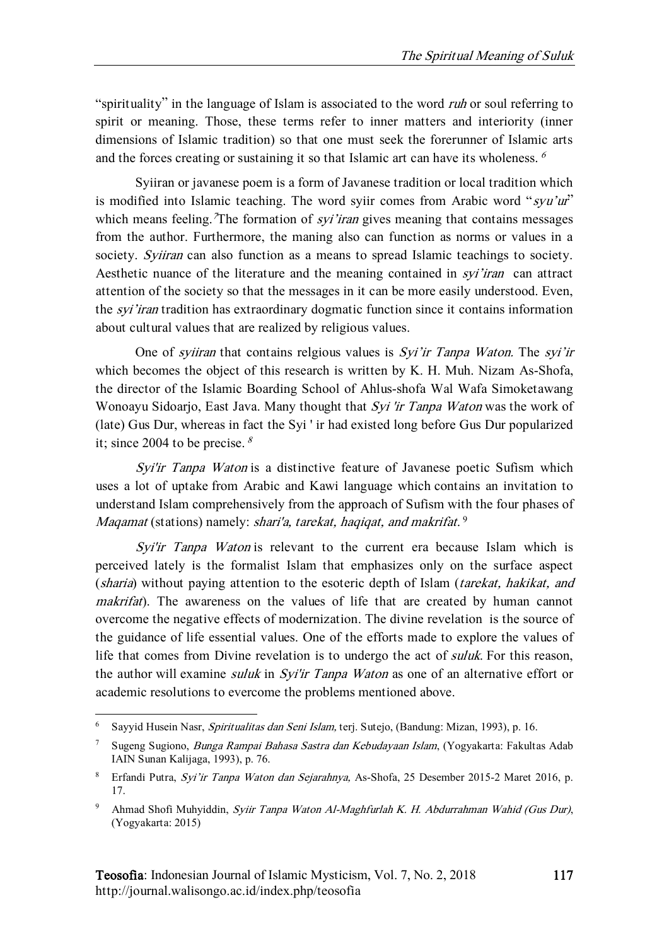"spirituality" in the language of Islam is associated to the word *ruh* or soul referring to spirit or meaning. Those, these terms refer to inner matters and interiority (inner dimensions of Islamic tradition) so that one must seek the forerunner of Islamic arts and the forces creating or sustaining it so that Islamic art can have its wholeness.  $\delta$ 

Syiiran or javanese poem is a form of Javanese tradition or local tradition which is modified into Islamic teaching. The word syiir comes from Arabic word "syu'ur" which means feeling. The formation of *syi'iran* gives meaning that contains messages from the author. Furthermore, the maning also can function as norms or values in a society. Syiiran can also function as a means to spread Islamic teachings to society. Aesthetic nuance of the literature and the meaning contained in *syi'iran* can attract attention of the society so that the messages in it can be more easily understood. Even, the *syi'iran* tradition has extraordinary dogmatic function since it contains information about cultural values that are realized by religious values.

One of *sviiran* that contains relgious values is *Syi'ir Tanpa Waton*. The *syi'ir* which becomes the object of this research is written by K. H. Muh. Nizam As-Shofa, the director of the Islamic Boarding School of Ahlus-shofa Wal Wafa Simoketawang Wonoayu Sidoarjo, East Java. Many thought that Syi 'ir Tanpa Waton was the work of (late) Gus Dur, whereas in fact the Syi ' ir had existed long before Gus Dur popularized it; since 2004 to be precise.  $\frac{8}{3}$ 

Syi'ir Tanpa Waton is a distinctive feature of Javanese poetic Sufism which uses a lot of uptake from Arabic and Kawi language which contains an invitation to understand Islam comprehensively from the approach of Sufism with the four phases of Maqamat (stations) namely: shari'a, tarekat, haqiqat, and makrifat.<sup>9</sup>

Syi'ir Tanpa Waton is relevant to the current era because Islam which is perceived lately is the formalist Islam that emphasizes only on the surface aspect (sharia) without paying attention to the esoteric depth of Islam (tarekat, hakikat, and makrifat). The awareness on the values of life that are created by human cannot overcome the negative effects of modernization. The divine revelation is the source of the guidance of life essential values. One of the efforts made to explore the values of life that comes from Divine revelation is to undergo the act of *suluk*. For this reason, the author will examine *suluk* in *Syi'ir Tanpa Waton* as one of an alternative effort or academic resolutions to evercome the problems mentioned above.

1

<sup>6</sup> Sayyid Husein Nasr, Spiritualitas dan Seni Islam, terj. Sutejo, (Bandung: Mizan, 1993), p. 16.

<sup>7</sup> Sugeng Sugiono, Bunga Rampai Bahasa Sastra dan Kebudayaan Islam, (Yogyakarta: Fakultas Adab IAIN Sunan Kalijaga, 1993), p. 76.

<sup>&</sup>lt;sup>8</sup> Erfandi Putra, Syi'ir Tanpa Waton dan Sejarahnya, As-Shofa, 25 Desember 2015-2 Maret 2016, p. 17.

<sup>9</sup> Ahmad Shofi Muhyiddin, Syiir Tanpa Waton Al-Maghfurlah K. H. Abdurrahman Wahid (Gus Dur), (Yogyakarta: 2015)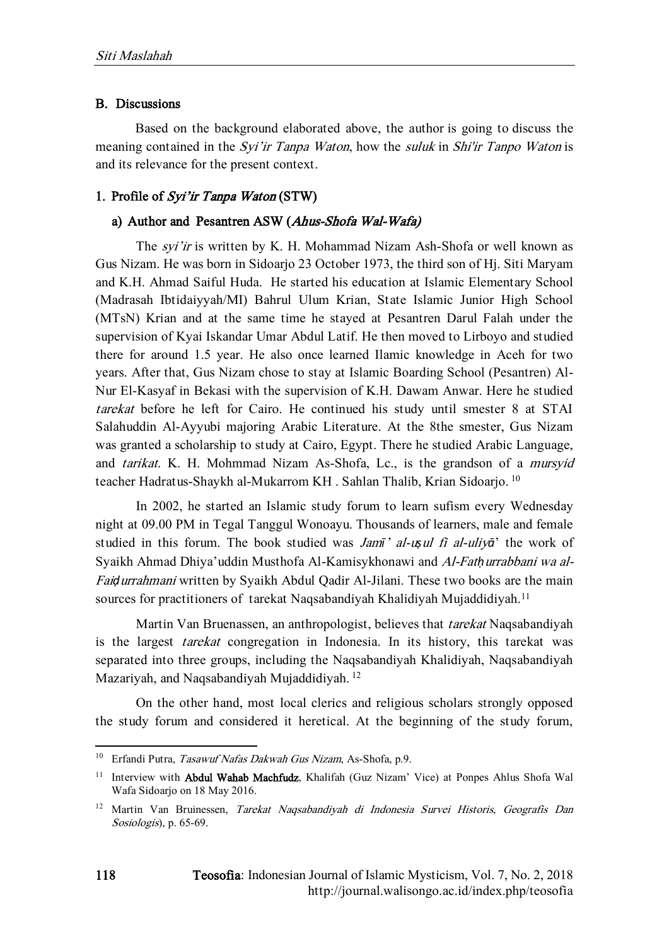### B. Discussions

Based on the background elaborated above, the author is going to discuss the meaning contained in the *Syi'ir Tanpa Waton*, how the *suluk* in *Shi'ir Tanpo Waton* is and its relevance for the present context.

# 1. Profile of Syi'ir Tanpa Waton (STW)

# a) Author and Pesantren ASW (Ahus-Shofa Wal-Wafa)

The syi'ir is written by K. H. Mohammad Nizam Ash-Shofa or well known as Gus Nizam. He was born in Sidoarjo 23 October 1973, the third son of Hj. Siti Maryam and K.H. Ahmad Saiful Huda. He started his education at Islamic Elementary School (Madrasah Ibtidaiyyah/MI) Bahrul Ulum Krian, State Islamic Junior High School (MTsN) Krian and at the same time he stayed at Pesantren Darul Falah under the supervision of Kyai Iskandar Umar Abdul Latif. He then moved to Lirboyo and studied there for around 1.5 year. He also once learned Ilamic knowledge in Aceh for two years. After that, Gus Nizam chose to stay at Islamic Boarding School (Pesantren) Al-Nur El-Kasyaf in Bekasi with the supervision of K.H. Dawam Anwar. Here he studied tarekat before he left for Cairo. He continued his study until smester 8 at STAI Salahuddin Al-Ayyubi majoring Arabic Literature. At the 8the smester, Gus Nizam was granted a scholarship to study at Cairo, Egypt. There he studied Arabic Language, and tarikat. K. H. Mohmmad Nizam As-Shofa, Lc., is the grandson of a mursyid teacher Hadratus-Shaykh al-Mukarrom KH. Sahlan Thalib, Krian Sidoarjo.<sup>10</sup>

In 2002, he started an Islamic study forum to learn sufism every Wednesday night at 09.00 PM in Tegal Tanggul Wonoayu. Thousands of learners, male and female studied in this forum. The book studied was Jam*ī*' al-u*ṣ*ul fi al-uliy*ā*' the work of Syaikh Ahmad Dhiya'uddin Musthofa Al-Kamisykhonawi and Al-Fat*ḥ*urrabbani wa al-Fai*ḍ*urrahmani written by Syaikh Abdul Qadir Al-Jilani. These two books are the main sources for practitioners of tarekat Naqsabandiyah Khalidiyah Mujaddidiyah.<sup>11</sup>

Martin Van Bruenassen, an anthropologist, believes that tarekat Naqsabandiyah is the largest tarekat congregation in Indonesia. In its history, this tarekat was separated into three groups, including the Naqsabandiyah Khalidiyah, Naqsabandiyah Mazariyah, and Naqsabandiyah Mujaddidiyah. <sup>12</sup>

On the other hand, most local clerics and religious scholars strongly opposed the study forum and considered it heretical. At the beginning of the study forum,

<sup>&</sup>lt;sup>10</sup> Erfandi Putra, *Tasawuf Nafas Dakwah Gus Nizam*, As-Shofa, p.9.

<sup>&</sup>lt;sup>11</sup> Interview with **Abdul Wahab Machfudz**, Khalifah (Guz Nizam' Vice) at Ponpes Ahlus Shofa Wal Wafa Sidoarjo on 18 May 2016.

<sup>&</sup>lt;sup>12</sup> Martin Van Bruinessen, Tarekat Naqsabandiyah di Indonesia Survei Historis, Geografis Dan Sosiologis), p. 65-69.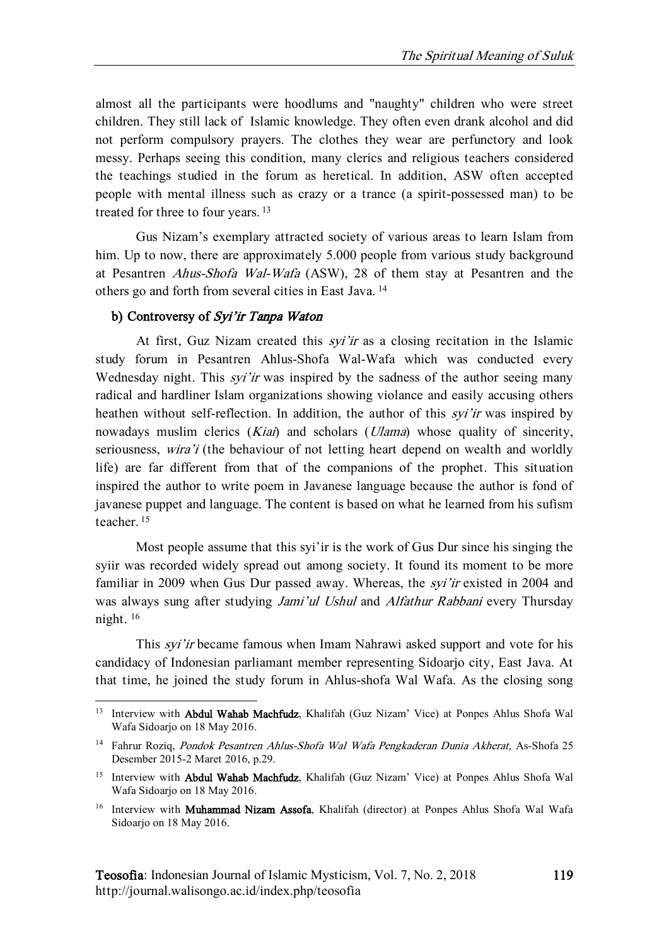almost all the participants were hoodlums and "naughty" children who were street children. They still lack of Islamic knowledge. They often even drank alcohol and did not perform compulsory prayers. The clothes they wear are perfunctory and look messy. Perhaps seeing this condition, many clerics and religious teachers considered the teachings studied in the forum as heretical. In addition, ASW often accepted people with mental illness such as crazy or a trance (a spirit-possessed man) to be treated for three to four years. <sup>13</sup>

Gus Nizam's exemplary attracted society of various areas to learn Islam from him. Up to now, there are approximately 5.000 people from various study background at Pesantren Ahus-Shofa Wal-Wafa (ASW), 28 of them stay at Pesantren and the others go and forth from several cities in East Java. <sup>14</sup>

# b) Controversy of Syi'ir Tanpa Waton

 $\overline{a}$ 

At first, Guz Nizam created this syi'ir as a closing recitation in the Islamic study forum in Pesantren Ahlus-Shofa Wal-Wafa which was conducted every Wednesday night. This *syi'ir* was inspired by the sadness of the author seeing many radical and hardliner Islam organizations showing violance and easily accusing others heathen without self-reflection. In addition, the author of this *syi'ir* was inspired by nowadays muslim clerics (Kiai) and scholars (Ulama) whose quality of sincerity, seriousness, *wira'i* (the behaviour of not letting heart depend on wealth and worldly life) are far different from that of the companions of the prophet. This situation inspired the author to write poem in Javanese language because the author is fond of javanese puppet and language. The content is based on what he learned from his sufism teacher. <sup>15</sup>

Most people assume that this syi'ir is the work of Gus Dur since his singing the syiir was recorded widely spread out among society. It found its moment to be more familiar in 2009 when Gus Dur passed away. Whereas, the *syi'ir* existed in 2004 and was always sung after studying *Jami'ul Ushul* and *Alfathur Rabbani* every Thursday night. <sup>16</sup>

This *syi'ir* became famous when Imam Nahrawi asked support and vote for his candidacy of Indonesian parliamant member representing Sidoarjo city, East Java. At that time, he joined the study forum in Ahlus-shofa Wal Wafa. As the closing song

<sup>&</sup>lt;sup>13</sup> Interview with **Abdul Wahab Machfudz**, Khalifah (Guz Nizam' Vice) at Ponpes Ahlus Shofa Wal Wafa Sidoario on 18 May 2016.

<sup>&</sup>lt;sup>14</sup> Fahrur Roziq, Pondok Pesantren Ahlus-Shofa Wal Wafa Pengkaderan Dunia Akherat, As-Shofa 25 Desember 2015-2 Maret 2016, p.29.

<sup>&</sup>lt;sup>15</sup> Interview with **Abdul Wahab Machfudz**, Khalifah (Guz Nizam' Vice) at Ponpes Ahlus Shofa Wal Wafa Sidoarjo on 18 May 2016.

<sup>&</sup>lt;sup>16</sup> Interview with **Muhammad Nizam Assofa**, Khalifah (director) at Ponpes Ahlus Shofa Wal Wafa Sidoarjo on 18 May 2016.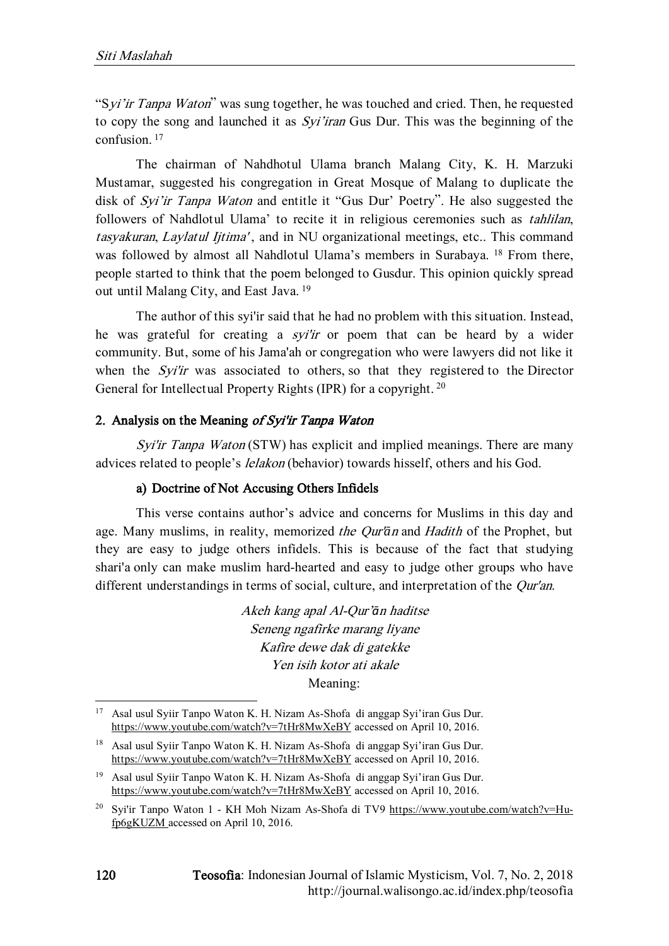"Syi'ir Tanpa Waton" was sung together, he was touched and cried. Then, he requested to copy the song and launched it as *Syi'iran* Gus Dur. This was the beginning of the confusion. <sup>17</sup>

The chairman of Nahdhotul Ulama branch Malang City, K. H. Marzuki Mustamar, suggested his congregation in Great Mosque of Malang to duplicate the disk of Syi'ir Tanpa Waton and entitle it "Gus Dur' Poetry". He also suggested the followers of Nahdlotul Ulama' to recite it in religious ceremonies such as tahlilan, tasyakuran, Laylatul Ijtima', and in NU organizational meetings, etc.. This command was followed by almost all Nahdlotul Ulama's members in Surabaya. <sup>18</sup> From there, people started to think that the poem belonged to Gusdur. This opinion quickly spread out until Malang City, and East Java. <sup>19</sup>

The author of this syi'ir said that he had no problem with this situation. Instead, he was grateful for creating a *syi'ir* or poem that can be heard by a wider community. But, some of his Jama'ah or congregation who were lawyers did not like it when the *Syi'ir* was associated to others, so that they registered to the Director General for Intellectual Property Rights (IPR) for a copyright.<sup>20</sup>

#### 2. Analysis on the Meaning of Syi'ir Tanpa Waton

Syi'ir Tanpa Waton (STW) has explicit and implied meanings. There are many advices related to people's *lelakon* (behavior) towards hisself, others and his God.

#### a) Doctrine of Not Accusing Others Infidels

This verse contains author's advice and concerns for Muslims in this day and age. Many muslims, in reality, memorized the Qur'*ā*<sup>n</sup> and Hadith of the Prophet, but they are easy to judge others infidels. This is because of the fact that studying shari'a only can make muslim hard-hearted and easy to judge other groups who have different understandings in terms of social, culture, and interpretation of the *Our'an*.

> Akeh kang apal Al-Qur'*ā*<sup>n</sup> haditse Seneng ngafirke marang liyane Kafire dewe dak di gatekke Yen isih kotor ati akale Meaning:

<sup>17</sup> Asal usul Syiir Tanpo Waton K. H. Nizam As-Shofa di anggap Syi'iran Gus Dur. <https://www.youtube.com/watch?v=7tHr8MwXeBY> accessed on April 10, 2016.

<sup>18</sup> Asal usul Syiir Tanpo Waton K. H. Nizam As-Shofa di anggap Syi'iran Gus Dur. <https://www.youtube.com/watch?v=7tHr8MwXeBY> accessed on April 10, 2016.

<sup>19</sup> Asal usul Syiir Tanpo Waton K. H. Nizam As-Shofa di anggap Syi'iran Gus Dur. <https://www.youtube.com/watch?v=7tHr8MwXeBY> accessed on April 10, 2016.

<sup>&</sup>lt;sup>20</sup> Svi'ir Tanpo Waton 1 - KH Moh Nizam As-Shofa di TV9 [https://www.youtube.com/watch?v=Hu](https://www.youtube.com/watch?v=Hu-fp6gKUZM)[fp6gKUZM](https://www.youtube.com/watch?v=Hu-fp6gKUZM) accessed on April 10, 2016.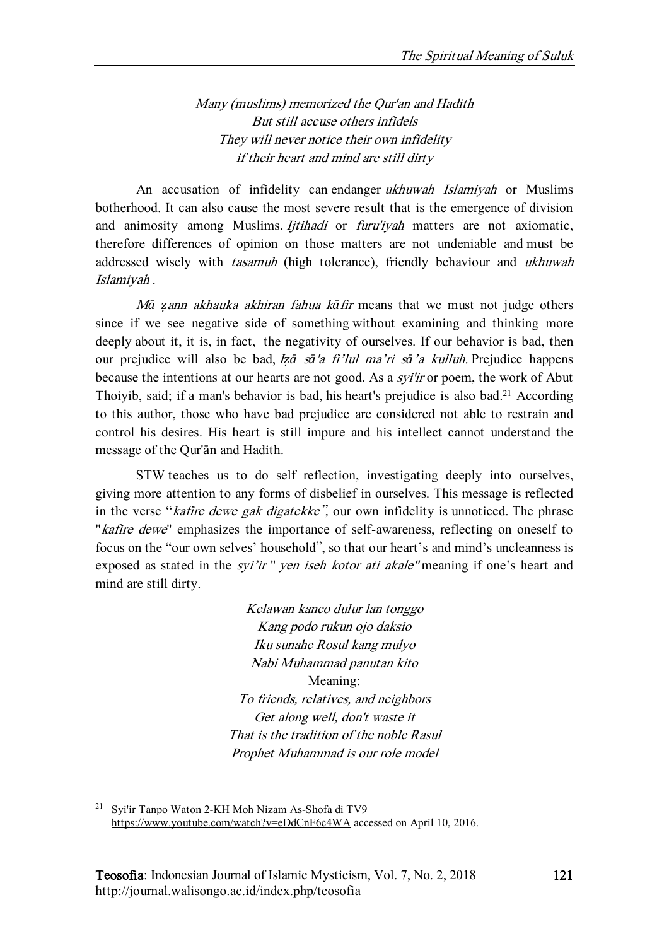Many (muslims) memorized the Qur'an and Hadith But still accuse others infidels They will never notice their own infidelity if their heart and mind are still dirty

An accusation of infidelity can endanger ukhuwah Islamiyah or Muslims botherhood. It can also cause the most severe result that is the emergence of division and animosity among Muslims. *Ijtihadi* or *furu'iyah* matters are not axiomatic, therefore differences of opinion on those matters are not undeniable and must be addressed wisely with *tasamuh* (high tolerance), friendly behaviour and *ukhuwah* Islamiyah .

<sup>M</sup>*ā ẓ*ann akhauka akhiran fahua k*ā*fir means that we must not judge others since if we see negative side of something without examining and thinking more deeply about it, it is, in fact, the negativity of ourselves. If our behavior is bad, then our prejudice will also be bad, <sup>I</sup>*ẓā* <sup>s</sup>*ā*'a fi'lul ma'ri s*ā*'a kulluh. Prejudice happens because the intentions at our hearts are not good. As a syi'ir or poem, the work of Abut Thoiyib, said; if a man's behavior is bad, his heart's prejudice is also bad. <sup>21</sup> According to this author, those who have bad prejudice are considered not able to restrain and control his desires. His heart is still impure and his intellect cannot understand the message of the Qur'ān and Hadith.

STW teaches us to do self reflection, investigating deeply into ourselves, giving more attention to any forms of disbelief in ourselves. This message is reflected in the verse "*kafire dewe gak digatekke*", our own infidelity is unnoticed. The phrase "*kafire dewe*" emphasizes the importance of self-awareness, reflecting on oneself to focus on the "our own selves' household", so that our heart's and mind's uncleanness is exposed as stated in the *syi'ir* " *yen iseh kotor ati akale* "meaning if one's heart and mind are still dirty.

> Kelawan kanco dulur lan tonggo Kang podo rukun ojo daksio Iku sunahe Rosul kang mulyo Nabi Muhammad panutan kito Meaning: To friends, relatives, and neighbors Get along well, don't waste it That is the tradition of the noble Rasul Prophet Muhammad is our role model

1

<sup>21</sup> Syi'ir Tanpo Waton 2-KH Moh Nizam As-Shofa di TV9 <https://www.youtube.com/watch?v=eDdCnF6c4WA> accessed on April 10, 2016.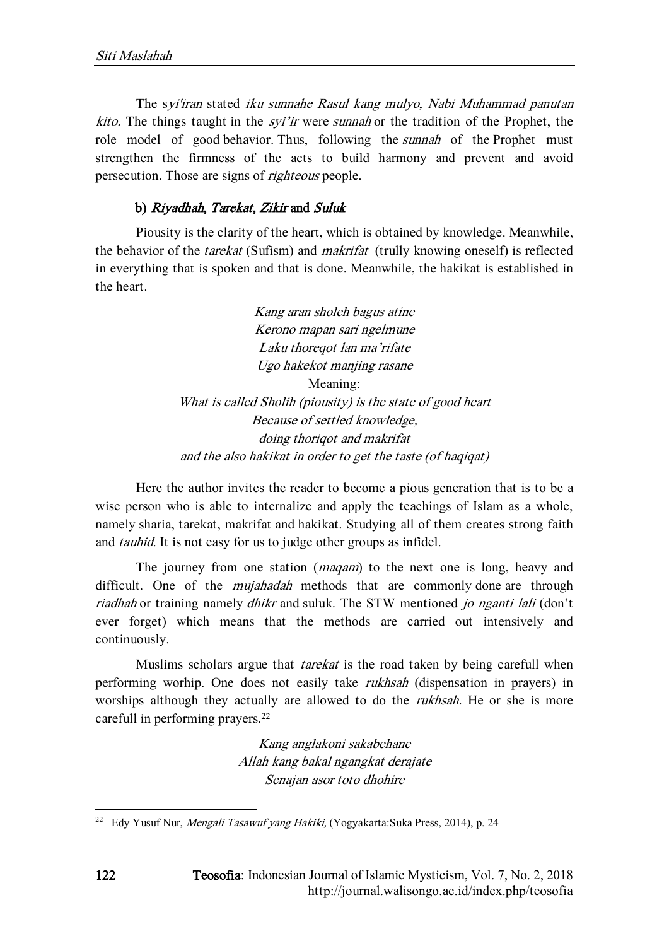The syi'iran stated iku sunnahe Rasul kang mulyo, Nabi Muhammad panutan kito. The things taught in the *syi'ir* were *sunnah* or the tradition of the Prophet, the role model of good behavior. Thus, following the *sunnah* of the Prophet must strengthen the firmness of the acts to build harmony and prevent and avoid persecution. Those are signs of righteous people.

### b) Riyadhah, Tarekat, Zikir and Suluk

Piousity is the clarity of the heart, which is obtained by knowledge. Meanwhile, the behavior of the tarekat (Sufism) and makrifat (trully knowing oneself) is reflected in everything that is spoken and that is done. Meanwhile, the hakikat is established in the heart.

> Kang aran sholeh bagus atine Kerono mapan sari ngelmune Laku thoreqot lan ma'rifate Ugo hakekot manjing rasane Meaning: What is called Sholih (piousity) is the state of good heart Because of settled knowledge, doing thoriqot and makrifat and the also hakikat in order to get the taste (of haqiqat)

Here the author invites the reader to become a pious generation that is to be a wise person who is able to internalize and apply the teachings of Islam as a whole, namely sharia, tarekat, makrifat and hakikat. Studying all of them creates strong faith and tauhid. It is not easy for us to judge other groups as infidel.

The journey from one station (maqam) to the next one is long, heavy and difficult. One of the *mujahadah* methods that are commonly done are through riadhah or training namely *dhikr* and suluk. The STW mentioned *jo nganti lali* (don't ever forget) which means that the methods are carried out intensively and continuously.

Muslims scholars argue that *tarekat* is the road taken by being carefull when performing worhip. One does not easily take rukhsah (dispensation in prayers) in worships although they actually are allowed to do the *rukhsah*. He or she is more carefull in performing prayers.<sup>22</sup>

> Kang anglakoni sakabehane Allah kang bakal ngangkat derajate Senajan asor toto dhohire

<sup>&</sup>lt;sup>22</sup> Edy Yusuf Nur, Mengali Tasawuf yang Hakiki, (Yogyakarta:Suka Press, 2014), p. 24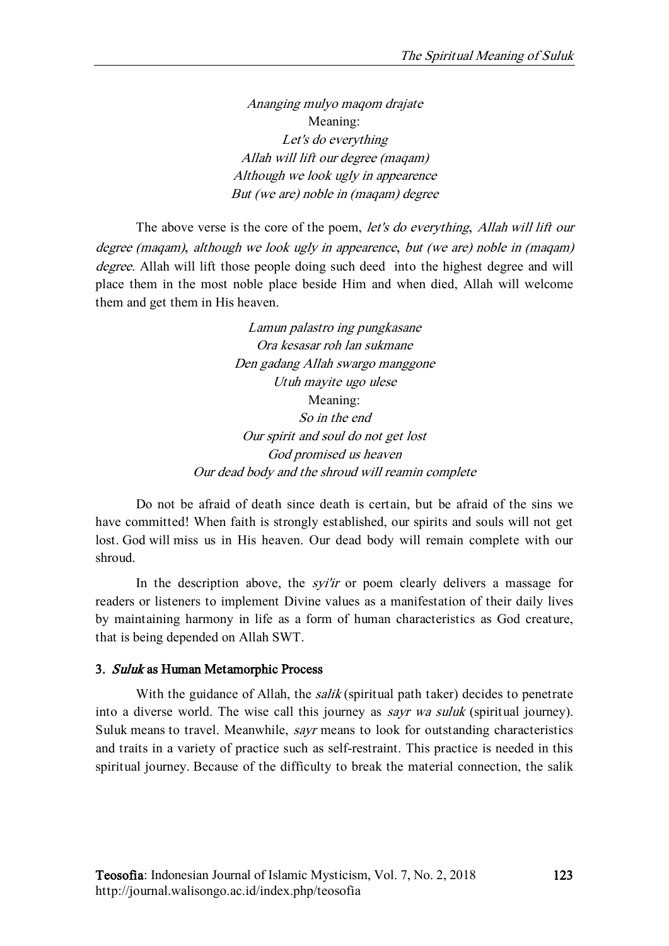Ananging mulyo maqom drajate Meaning: Let's do everything Allah will lift our degree (maqam) Although we look ugly in appearence But (we are) noble in (maqam) degree

The above verse is the core of the poem, let's do everything, Allah will lift our degree (maqam), although we look ugly in appearence, but (we are) noble in (maqam) degree. Allah will lift those people doing such deed into the highest degree and will place them in the most noble place beside Him and when died, Allah will welcome them and get them in His heaven.

> Lamun palastro ing pungkasane Ora kesasar roh lan sukmane Den gadang Allah swargo manggone Utuh mayite ugo ulese Meaning: So in the end Our spirit and soul do not get lost God promised us heaven Our dead body and the shroud will reamin complete

Do not be afraid of death since death is certain, but be afraid of the sins we have committed! When faith is strongly established, our spirits and souls will not get lost. God will miss us in His heaven. Our dead body will remain complete with our shroud.

In the description above, the *syi'ir* or poem clearly delivers a massage for readers or listeners to implement Divine values as a manifestation of their daily lives by maintaining harmony in life as a form of human characteristics as God creature, that is being depended on Allah SWT.

# 3. Suluk as Human Metamorphic Process

With the guidance of Allah, the *salik* (spiritual path taker) decides to penetrate into a diverse world. The wise call this journey as sayr wa suluk (spiritual journey). Suluk means to travel. Meanwhile, sayr means to look for outstanding characteristics and traits in a variety of practice such as self-restraint. This practice is needed in this spiritual journey. Because of the difficulty to break the material connection, the salik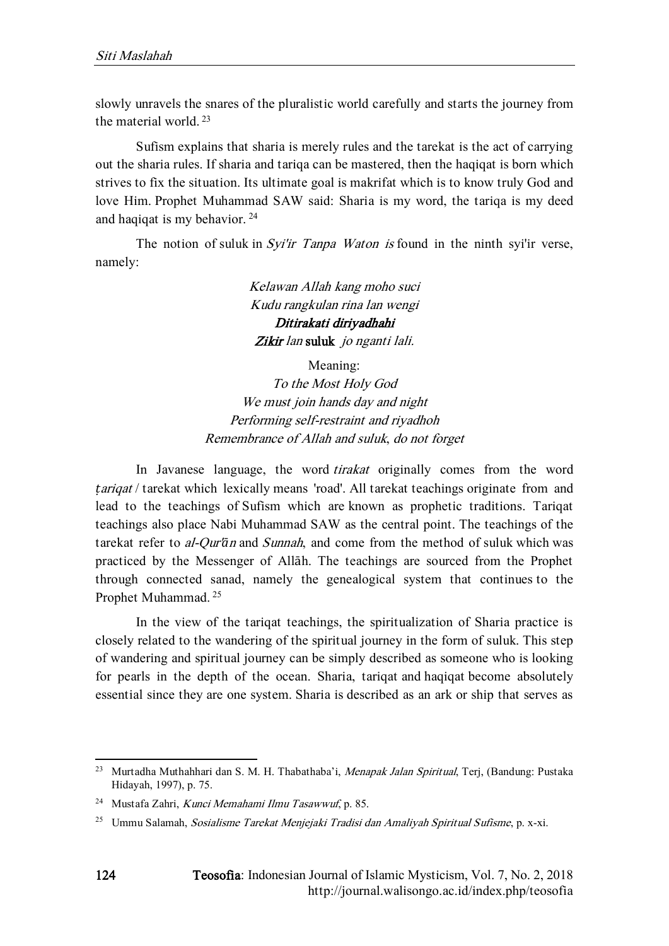slowly unravels the snares of the pluralistic world carefully and starts the journey from the material world. <sup>23</sup>

Sufism explains that sharia is merely rules and the tarekat is the act of carrying out the sharia rules. If sharia and tariqa can be mastered, then the haqiqat is born which strives to fix the situation. Its ultimate goal is makrifat which is to know truly God and love Him. Prophet Muhammad SAW said: Sharia is my word, the tariqa is my deed and haqiqat is my behavior. <sup>24</sup>

The notion of suluk in Syi'ir Tanpa Waton is found in the ninth syi'ir verse, namely:

> Kelawan Allah kang moho suci Kudu rangkulan rina lan wengi Ditirakati diriyadhahi Zikir lan suluk jo nganti lali.

Meaning: To the Most Holy God We must join hands day and night Performing self-restraint and riyadhoh Remembrance of Allah and suluk, do not forget

In Javanese language, the word *tirakat* originally comes from the word *tarigat* / tarekat which lexically means 'road'. All tarekat teachings originate from and lead to the teachings of Sufism which are known as prophetic traditions. Tariqat teachings also place Nabi Muhammad SAW as the central point. The teachings of the tarekat refer to al-Qur'*ā*<sup>n</sup> and Sunnah, and come from the method of suluk which was practiced by the Messenger of Allāh. The teachings are sourced from the Prophet through connected sanad, namely the genealogical system that continues to the Prophet Muhammad. 25

In the view of the tariqat teachings, the spiritualization of Sharia practice is closely related to the wandering of the spiritual journey in the form of suluk. This step of wandering and spiritual journey can be simply described as someone who is looking for pearls in the depth of the ocean. Sharia, tariqat and haqiqat become absolutely essential since they are one system. Sharia is described as an ark or ship that serves as

<sup>&</sup>lt;sup>23</sup> Murtadha Muthahhari dan S. M. H. Thabathaba'i, Menapak Jalan Spiritual, Terj, (Bandung: Pustaka Hidayah, 1997), p. 75.

<sup>24</sup> Mustafa Zahri, Kunci Memahami Ilmu Tasawwuf, p. 85.

<sup>&</sup>lt;sup>25</sup> Ummu Salamah, Sosialisme Tarekat Menjejaki Tradisi dan Amaliyah Spiritual Sufisme, p. x-xi.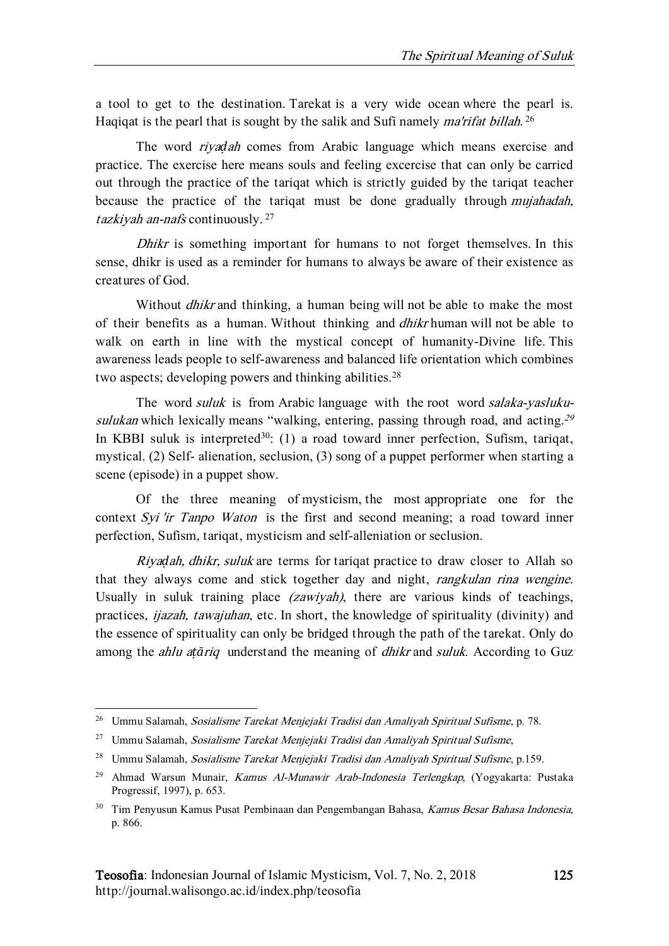a tool to get to the destination. Tarekat is a very wide ocean where the pearl is. Haqiqat is the pearl that is sought by the salik and Sufi namely *ma'rifat billah*.<sup>26</sup>

The word riya*ḍ*ah comes from Arabic language which means exercise and practice. The exercise here means souls and feeling excercise that can only be carried out through the practice of the tariqat which is strictly guided by the tariqat teacher because the practice of the tariqat must be done gradually through mujahadah, tazkiyah an-nafs continuously.<sup>27</sup>

Dhikr is something important for humans to not forget themselves. In this sense, dhikr is used as a reminder for humans to always be aware of their existence as creatures of God.

Without *dhikr* and thinking, a human being will not be able to make the most of their benefits as a human. Without thinking and dhikr human will not be able to walk on earth in line with the mystical concept of humanity-Divine life. This awareness leads people to self-awareness and balanced life orientation which combines two aspects; developing powers and thinking abilities.<sup>28</sup>

The word *suluk* is from Arabic language with the root word *salaka-yasluku*sulukan which lexically means "walking, entering, passing through road, and acting.<sup>29</sup> In KBBI suluk is interpreted<sup>30</sup>: (1) a road toward inner perfection, Sufism, tariqat, mystical. (2) Self- alienation, seclusion, (3) song of a puppet performer when starting a scene (episode) in a puppet show.

Of the three meaning of mysticism, the most appropriate one for the context Syi 'ir Tanpo Waton is the first and second meaning; a road toward inner perfection, Sufism, tariqat, mysticism and self-alleniation or seclusion.

Riya*ḍ*ah, dhikr, suluk are terms for tariqat practice to draw closer to Allah so that they always come and stick together day and night, rangkulan rina wengine. Usually in suluk training place *(zawiyah)*, there are various kinds of teachings, practices, ijazah, tawajuhan, etc. In short, the knowledge of spirituality (divinity) and the essence of spirituality can only be bridged through the path of the tarekat. Only do among the ahlu a*ṭā*riq understand the meaning of dhikr and suluk. According to Guz

<sup>&</sup>lt;sup>26</sup> Ummu Salamah, Sosialisme Tarekat Menjejaki Tradisi dan Amaliyah Spiritual Sufisme, p. 78.

<sup>&</sup>lt;sup>27</sup> Ummu Salamah, Sosialisme Tarekat Menjejaki Tradisi dan Amaliyah Spiritual Sufisme,

<sup>&</sup>lt;sup>28</sup> Ummu Salamah, Sosialisme Tarekat Meniejaki Tradisi dan Amaliyah Spiritual Sufisme, p.159.

<sup>&</sup>lt;sup>29</sup> Ahmad Warsun Munair, *Kamus Al-Munawir Arab-Indonesia Terlengkap*, (Yogyakarta: Pustaka Progressif, 1997), p. 653.

<sup>&</sup>lt;sup>30</sup> Tim Penyusun Kamus Pusat Pembinaan dan Pengembangan Bahasa, Kamus Besar Bahasa Indonesia. p. 866.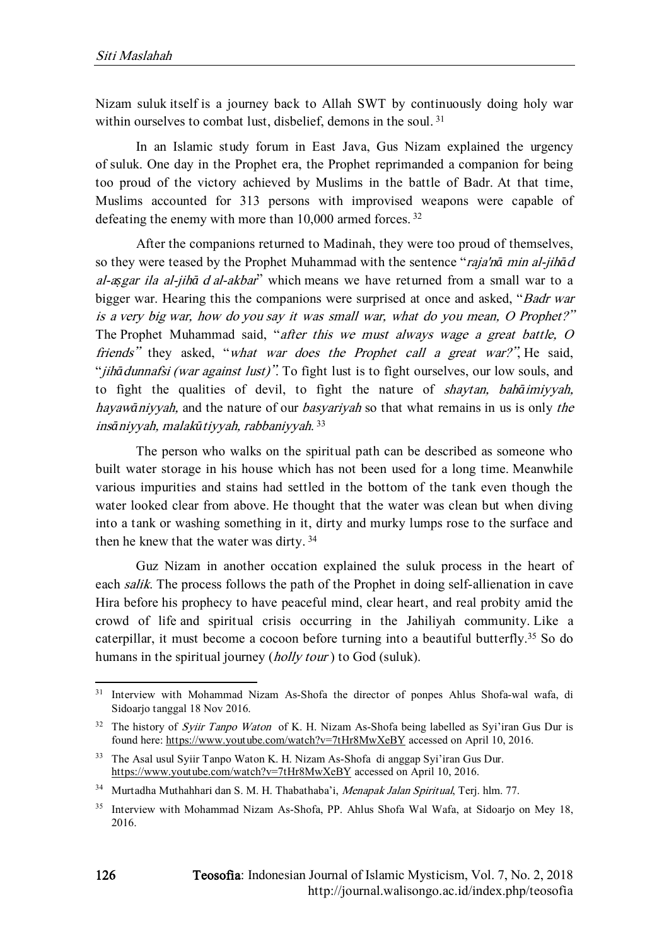Nizam suluk itself is a journey back to Allah SWT by continuously doing holy war within ourselves to combat lust, disbelief, demons in the soul.<sup>31</sup>

In an Islamic study forum in East Java, Gus Nizam explained the urgency of suluk. One day in the Prophet era, the Prophet reprimanded a companion for being too proud of the victory achieved by Muslims in the battle of Badr. At that time, Muslims accounted for 313 persons with improvised weapons were capable of defeating the enemy with more than 10,000 armed forces.<sup>32</sup>

After the companions returned to Madinah, they were too proud of themselves, so they were teased by the Prophet Muhammad with the sentence "raja'n*ā* min al-jih*ā*<sup>d</sup> al-a*ṣ*gar ila al-jih*ā* <sup>d</sup> al-akbar" which means we have returned from a small war to a bigger war. Hearing this the companions were surprised at once and asked, "Badr war is a very big war, how do you say it was small war, what do you mean, O Prophet?" The Prophet Muhammad said, "after this we must always wage a great battle, O friends" they asked, "what war does the Prophet call a great war?". He said, "*jihā dunnafsi (war against lust)*". To fight lust is to fight ourselves, our low souls, and to fight the qualities of devil, to fight the nature of shaytan, bah*ā*imiyyah, hayaw*ā*niyyah, and the nature of our basyariyah so that what remains in us is only the ins*ā*niyyah, malak*ū*tiyyah, rabbaniyyah. 33

The person who walks on the spiritual path can be described as someone who built water storage in his house which has not been used for a long time. Meanwhile various impurities and stains had settled in the bottom of the tank even though the water looked clear from above. He thought that the water was clean but when diving into a tank or washing something in it, dirty and murky lumps rose to the surface and then he knew that the water was dirty.<sup>34</sup>

Guz Nizam in another occation explained the suluk process in the heart of each *salik*. The process follows the path of the Prophet in doing self-allienation in cave Hira before his prophecy to have peaceful mind, clear heart, and real probity amid the crowd of life and spiritual crisis occurring in the Jahiliyah community. Like a caterpillar, it must become a cocoon before turning into a beautiful butterfly.<sup>35</sup> So do humans in the spiritual journey (*holly tour*) to God (suluk).

<sup>&</sup>lt;sup>31</sup> Interview with Mohammad Nizam As-Shofa the director of ponpes Ahlus Shofa-wal wafa, di Sidoario tanggal 18 Nov 2016.

<sup>&</sup>lt;sup>32</sup> The history of *Syiir Tanpo Waton* of K. H. Nizam As-Shofa being labelled as Syi'iran Gus Dur is found here[: https://www.youtube.com/watch?v=7tHr8MwXeBY](https://www.youtube.com/watch?v=7tHr8MwXeBY) accessed on April 10, 2016.

<sup>33</sup> The Asal usul Syiir Tanpo Waton K. H. Nizam As-Shofa di anggap Syi'iran Gus Dur. <https://www.youtube.com/watch?v=7tHr8MwXeBY> accessed on April 10, 2016.

<sup>&</sup>lt;sup>34</sup> Murtadha Muthahhari dan S. M. H. Thabathaba'i, Menapak Jalan Spiritual, Terj. hlm. 77.

<sup>&</sup>lt;sup>35</sup> Interview with Mohammad Nizam As-Shofa, PP. Ahlus Shofa Wal Wafa, at Sidoarjo on Mey 18, 2016.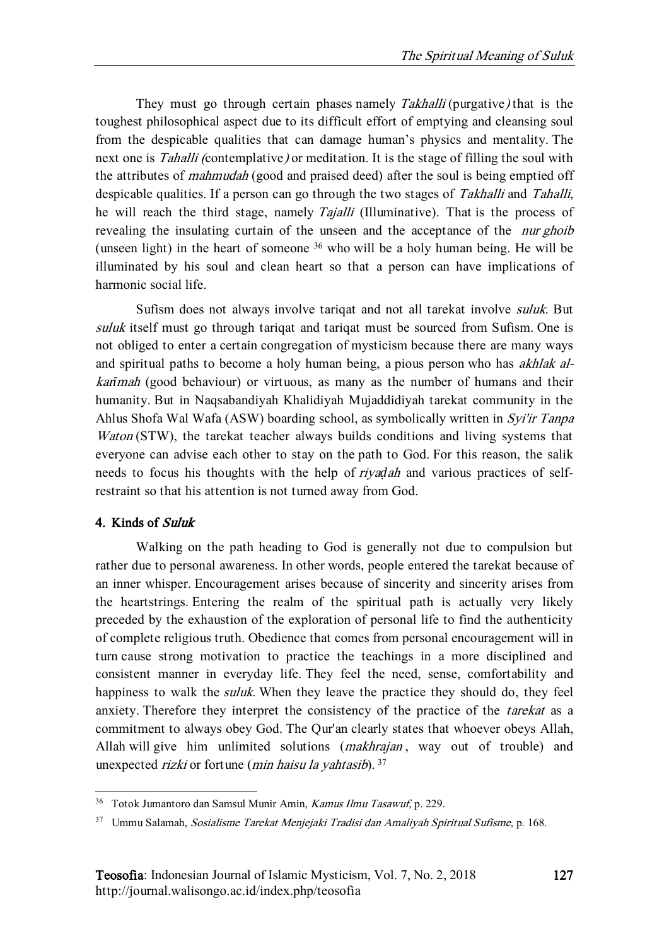They must go through certain phases namely Takhalli (purgative) that is the toughest philosophical aspect due to its difficult effort of emptying and cleansing soul from the despicable qualities that can damage human's physics and mentality. The next one is *Tahalli* (contemplative) or meditation. It is the stage of filling the soul with the attributes of *mahmudah* (good and praised deed) after the soul is being emptied off despicable qualities. If a person can go through the two stages of Takhalli and Tahalli, he will reach the third stage, namely Tajalli (Illuminative). That is the process of revealing the insulating curtain of the unseen and the acceptance of the *nur ghoib* (unseen light) in the heart of someone <sup>36</sup> who will be a holy human being. He will be illuminated by his soul and clean heart so that a person can have implications of harmonic social life.

Sufism does not always involve tariqat and not all tarekat involve suluk. But suluk itself must go through tariqat and tariqat must be sourced from Sufism. One is not obliged to enter a certain congregation of mysticism because there are many ways and spiritual paths to become a holy human being, a pious person who has akhlak alkar*ī*mah (good behaviour) or virtuous, as many as the number of humans and their humanity. But in Naqsabandiyah Khalidiyah Mujaddidiyah tarekat community in the Ahlus Shofa Wal Wafa (ASW) boarding school, as symbolically written in Syi'ir Tanpa Waton (STW), the tarekat teacher always builds conditions and living systems that everyone can advise each other to stay on the path to God. For this reason, the salik needs to focus his thoughts with the help of riya*ḍ*ah and various practices of selfrestraint so that his attention is not turned away from God.

# 4. Kinds of Suluk

 $\overline{a}$ 

Walking on the path heading to God is generally not due to compulsion but rather due to personal awareness. In other words, people entered the tarekat because of an inner whisper. Encouragement arises because of sincerity and sincerity arises from the heartstrings. Entering the realm of the spiritual path is actually very likely preceded by the exhaustion of the exploration of personal life to find the authenticity of complete religious truth. Obedience that comes from personal encouragement will in turn cause strong motivation to practice the teachings in a more disciplined and consistent manner in everyday life. They feel the need, sense, comfortability and happiness to walk the *suluk*. When they leave the practice they should do, they feel anxiety. Therefore they interpret the consistency of the practice of the tarekat as a commitment to always obey God. The Qur'an clearly states that whoever obeys Allah, Allah will give him unlimited solutions *(makhrajan*, way out of trouble) and unexpected rizki or fortune (min haisu la yahtasib).  $37$ 

<sup>36</sup> Totok Jumantoro dan Samsul Munir Amin, Kamus Ilmu Tasawuf, p. 229.

<sup>&</sup>lt;sup>37</sup> Ummu Salamah, Sosialisme Tarekat Menjejaki Tradisi dan Amaliyah Spiritual Sufisme, p. 168.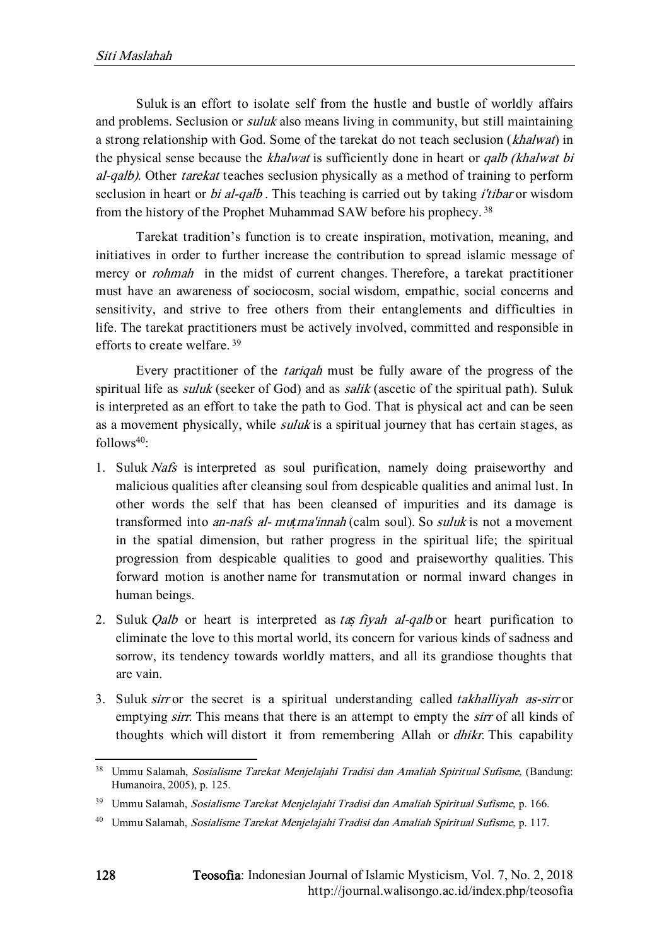Suluk is an effort to isolate self from the hustle and bustle of worldly affairs and problems. Seclusion or *suluk* also means living in community, but still maintaining a strong relationship with God. Some of the tarekat do not teach seclusion (khalwat) in the physical sense because the *khalwat* is sufficiently done in heart or *qalb* (khalwat bi al-qalb). Other tarekat teaches seclusion physically as a method of training to perform seclusion in heart or *bi al-qalb*. This teaching is carried out by taking *i'tibar* or wisdom from the history of the Prophet Muhammad SAW before his prophecy.<sup>38</sup>

Tarekat tradition's function is to create inspiration, motivation, meaning, and initiatives in order to further increase the contribution to spread islamic message of mercy or *rohmah* in the midst of current changes. Therefore, a tarekat practitioner must have an awareness of sociocosm, social wisdom, empathic, social concerns and sensitivity, and strive to free others from their entanglements and difficulties in life. The tarekat practitioners must be actively involved, committed and responsible in efforts to create welfare. <sup>39</sup>

Every practitioner of the tariqah must be fully aware of the progress of the spiritual life as *suluk* (seeker of God) and as *salik* (ascetic of the spiritual path). Suluk is interpreted as an effort to take the path to God. That is physical act and can be seen as a movement physically, while *suluk* is a spiritual journey that has certain stages, as  $follows<sup>40</sup>$ :

- 1. Suluk Nafs is interpreted as soul purification, namely doing praiseworthy and malicious qualities after cleansing soul from despicable qualities and animal lust. In other words the self that has been cleansed of impurities and its damage is transformed into an-nafs al- mu*ṭ*ma'innah (calm soul). So suluk is not a movement in the spatial dimension, but rather progress in the spiritual life; the spiritual progression from despicable qualities to good and praiseworthy qualities. This forward motion is another name for transmutation or normal inward changes in human beings.
- 2. Suluk Qalb or heart is interpreted as ta*ṣ* fiyah al-qalb or heart purification to eliminate the love to this mortal world, its concern for various kinds of sadness and sorrow, its tendency towards worldly matters, and all its grandiose thoughts that are vain.
- 3. Suluk sirr or the secret is a spiritual understanding called takhalliyah as-sirr or emptying *sirr*. This means that there is an attempt to empty the *sirr* of all kinds of thoughts which will distort it from remembering Allah or dhikr. This capability

<sup>&</sup>lt;sup>38</sup> Ummu Salamah, Sosialisme Tarekat Menjelajahi Tradisi dan Amaliah Spiritual Sufisme, (Bandung: Humanoira, 2005), p. 125.

<sup>&</sup>lt;sup>39</sup> Ummu Salamah, Sosialisme Tarekat Menjelajahi Tradisi dan Amaliah Spiritual Sufisme, p. 166.

<sup>40</sup> Ummu Salamah, Sosialisme Tarekat Menjelajahi Tradisi dan Amaliah Spiritual Sufisme, p. 117.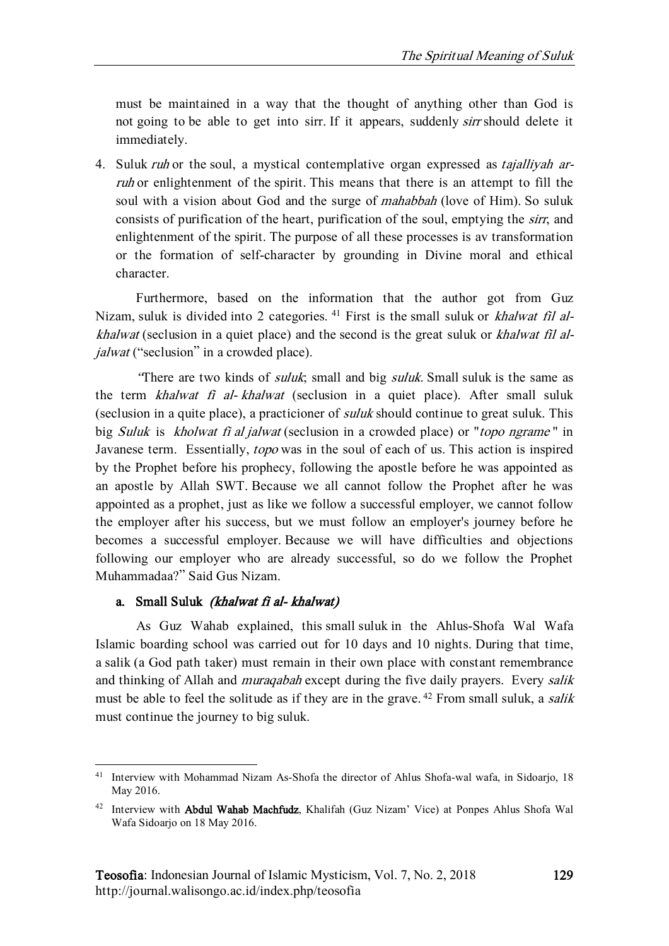must be maintained in a way that the thought of anything other than God is not going to be able to get into sirr. If it appears, suddenly sirr should delete it immediately.

4. Suluk *ruh* or the soul, a mystical contemplative organ expressed as *tajalliyah ar*ruh or enlightenment of the spirit. This means that there is an attempt to fill the soul with a vision about God and the surge of *mahabbah* (love of Him). So suluk consists of purification of the heart, purification of the soul, emptying the sirr, and enlightenment of the spirit. The purpose of all these processes is av transformation or the formation of self-character by grounding in Divine moral and ethical character.

Furthermore, based on the information that the author got from Guz Nizam, suluk is divided into 2 categories. <sup>41</sup> First is the small suluk or *khalwat fil al*khalwat (seclusion in a quiet place) and the second is the great suluk or khalwat fil aljalwat ("seclusion" in a crowded place).

There are two kinds of *suluk*; small and big *suluk*. Small suluk is the same as the term *khalwat fi al- khalwat* (seclusion in a quiet place). After small suluk (seclusion in a quite place), a practicioner of suluk should continue to great suluk. This big *Suluk* is *kholwat fi al jalwat* (seclusion in a crowded place) or "*topo ngrame*" in Javanese term. Essentially, *topo* was in the soul of each of us. This action is inspired by the Prophet before his prophecy, following the apostle before he was appointed as an apostle by Allah SWT. Because we all cannot follow the Prophet after he was appointed as a prophet, just as like we follow a successful employer, we cannot follow the employer after his success, but we must follow an employer's journey before he becomes a successful employer. Because we will have difficulties and objections following our employer who are already successful, so do we follow the Prophet Muhammadaa?" Said Gus Nizam.

### a. Small Suluk (khalwat fi al- khalwat)

1

As Guz Wahab explained, this small suluk in the Ahlus-Shofa Wal Wafa Islamic boarding school was carried out for 10 days and 10 nights. During that time, a salik (a God path taker) must remain in their own place with constant remembrance and thinking of Allah and *muraqabah* except during the five daily prayers. Every *salik* must be able to feel the solitude as if they are in the grave.<sup>42</sup> From small suluk, a *salik* must continue the journey to big suluk.

<sup>&</sup>lt;sup>41</sup> Interview with Mohammad Nizam As-Shofa the director of Ahlus Shofa-wal wafa, in Sidoarjo, 18 May 2016.

<sup>42</sup> Interview with Abdul Wahab Machfudz, Khalifah (Guz Nizam' Vice) at Ponpes Ahlus Shofa Wal Wafa Sidoarjo on 18 May 2016.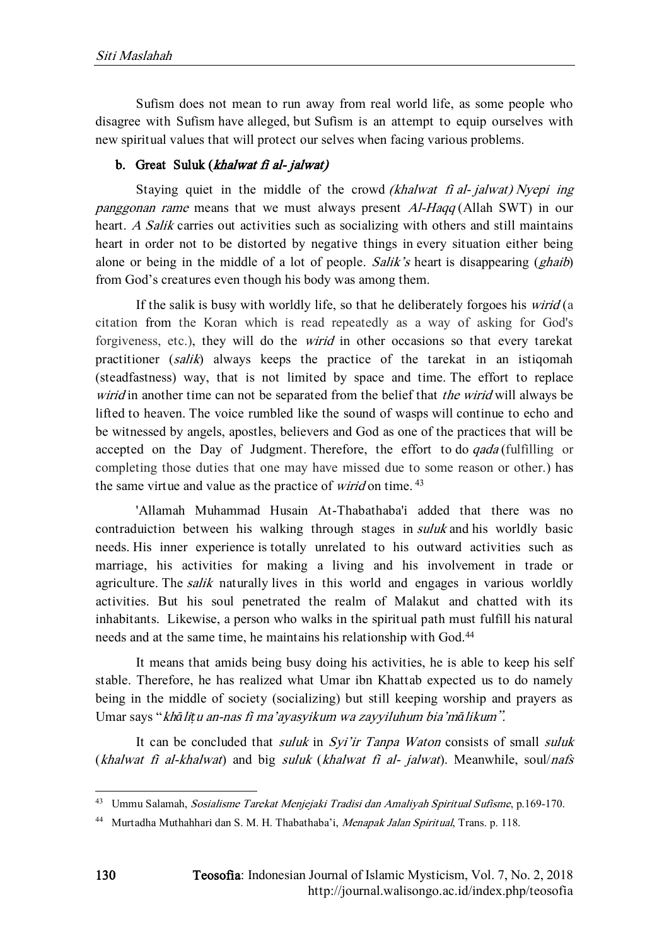Sufism does not mean to run away from real world life, as some people who disagree with Sufism have alleged, but Sufism is an attempt to equip ourselves with new spiritual values that will protect our selves when facing various problems.

# b. Great Suluk (khalwat fi al- jalwat)

Staying quiet in the middle of the crowd *(khalwat fi al- jalwat) Nyepi ing* panggonan rame means that we must always present Al-Haqq (Allah SWT) in our heart. A Salik carries out activities such as socializing with others and still maintains heart in order not to be distorted by negative things in every situation either being alone or being in the middle of a lot of people. Salik's heart is disappearing (*ghaib*) from God's creatures even though his body was among them.

If the salik is busy with worldly life, so that he deliberately forgoes his *wirid* (a citation from the Koran which is read repeatedly as a way of asking for God's forgiveness, etc.), they will do the wirid in other occasions so that every tarekat practitioner (salik) always keeps the practice of the tarekat in an istiqomah (steadfastness) way, that is not limited by space and time. The effort to replace wirid in another time can not be separated from the belief that the wirid will always be lifted to heaven. The voice rumbled like the sound of wasps will continue to echo and be witnessed by angels, apostles, believers and God as one of the practices that will be accepted on the Day of Judgment. Therefore, the effort to do *gada* (fulfilling or completing those duties that one may have missed due to some reason or other.) has the same virtue and value as the practice of *wirid* on time.<sup>43</sup>

'Allamah Muhammad Husain At-Thabathaba'i added that there was no contraduiction between his walking through stages in *suluk* and his worldly basic needs. His inner experience is totally unrelated to his outward activities such as marriage, his activities for making a living and his involvement in trade or agriculture. The salik naturally lives in this world and engages in various worldly activities. But his soul penetrated the realm of Malakut and chatted with its inhabitants. Likewise, a person who walks in the spiritual path must fulfill his natural needs and at the same time, he maintains his relationship with God. 44

It means that amids being busy doing his activities, he is able to keep his self stable. Therefore, he has realized what Umar ibn Khattab expected us to do namely being in the middle of society (socializing) but still keeping worship and prayers as Umar says "kh*ā*li*ṭ*u an-nas fi ma'ayasyikum wa zayyiluhum bia'm*ā*likum".

It can be concluded that *suluk* in Syi'ir Tanpa Waton consists of small *suluk*  $(khalwat fi al-khalwat)$  and big suluk  $(khalwat fi al- jalwat)$ . Meanwhile, soul/nafs

<sup>43</sup> Ummu Salamah, Sosialisme Tarekat Menjejaki Tradisi dan Amaliyah Spiritual Sufisme, p.169-170.

<sup>44</sup> Murtadha Muthahhari dan S. M. H. Thabathaba'i, Menapak Jalan Spiritual, Trans. p. 118.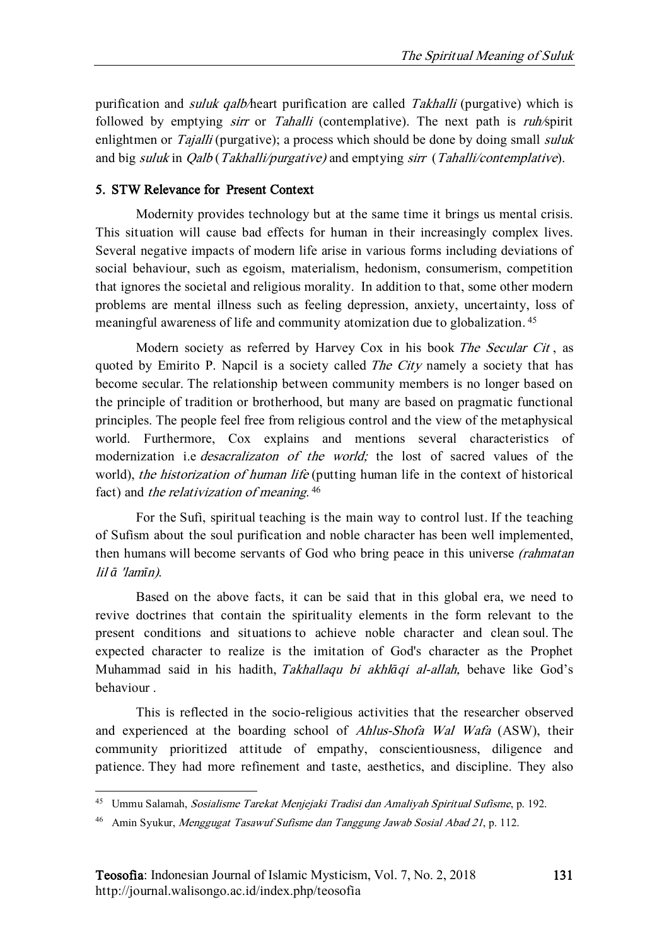purification and *suluk qalb/heart purification are called Takhalli* (purgative) which is followed by emptying *sirr* or *Tahalli* (contemplative). The next path is *ruh/spirit* enlightmen or *Tajalli* (purgative); a process which should be done by doing small *suluk* and big suluk in *Qalb* (Takhalli/purgative) and emptying sirr (Tahalli/contemplative).

# 5. STW Relevance for Present Context

Modernity provides technology but at the same time it brings us mental crisis. This situation will cause bad effects for human in their increasingly complex lives. Several negative impacts of modern life arise in various forms including deviations of social behaviour, such as egoism, materialism, hedonism, consumerism, competition that ignores the societal and religious morality. In addition to that, some other modern problems are mental illness such as feeling depression, anxiety, uncertainty, loss of meaningful awareness of life and community atomization due to globalization.<sup>45</sup>

Modern society as referred by Harvey Cox in his book The Secular Cit , as quoted by Emirito P. Napcil is a society called The City namely a society that has become secular. The relationship between community members is no longer based on the principle of tradition or brotherhood, but many are based on pragmatic functional principles. The people feel free from religious control and the view of the metaphysical world. Furthermore, Cox explains and mentions several characteristics of modernization i.e *desacralizaton of the world*; the lost of sacred values of the world), the historization of human life (putting human life in the context of historical fact) and *the relativization of meaning*.<sup>46</sup>

For the Sufi, spiritual teaching is the main way to control lust. If the teaching of Sufism about the soul purification and noble character has been well implemented, then humans will become servants of God who bring peace in this universe (rahmatan lil *ā* 'lam*ī*n).

Based on the above facts, it can be said that in this global era, we need to revive doctrines that contain the spirituality elements in the form relevant to the present conditions and situations to achieve noble character and clean soul. The expected character to realize is the imitation of God's character as the Prophet Muhammad said in his hadith, Takhallaqu bi akhl*ā*qi al-allah, behave like God's behaviour .

This is reflected in the socio-religious activities that the researcher observed and experienced at the boarding school of Ahlus-Shofa Wal Wafa (ASW), their community prioritized attitude of empathy, conscientiousness, diligence and patience. They had more refinement and taste, aesthetics, and discipline. They also

<sup>&</sup>lt;sup>45</sup> Ummu Salamah, Sosialisme Tarekat Menjejaki Tradisi dan Amaliyah Spiritual Sufisme, p. 192.

<sup>46</sup> Amin Syukur, Menggugat Tasawuf Sufisme dan Tanggung Jawab Sosial Abad 21, p. 112.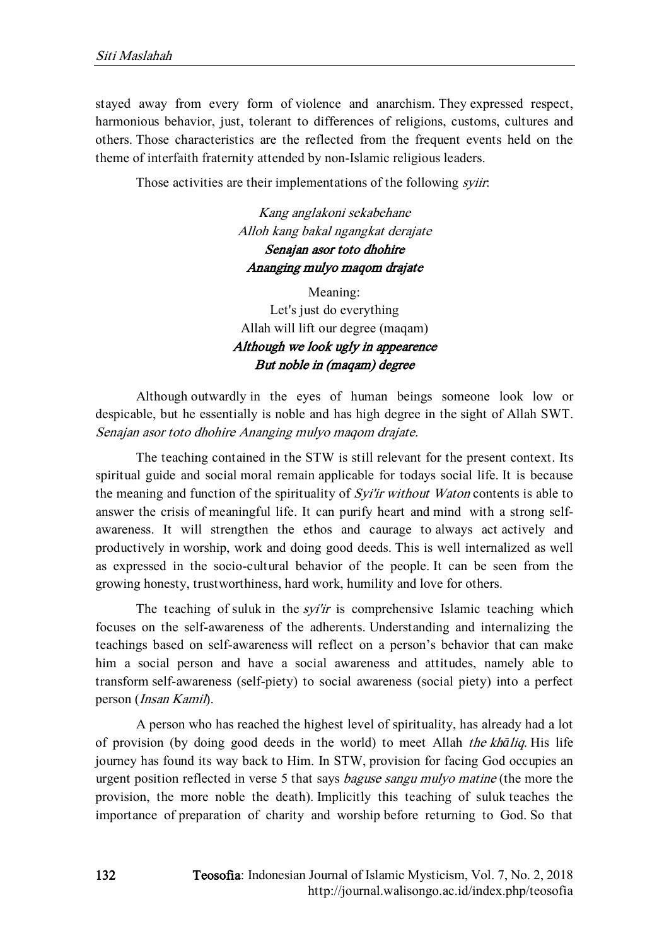stayed away from every form of violence and anarchism. They expressed respect, harmonious behavior, just, tolerant to differences of religions, customs, cultures and others. Those characteristics are the reflected from the frequent events held on the theme of interfaith fraternity attended by non-Islamic religious leaders.

Those activities are their implementations of the following *syiir*:

Kang anglakoni sekabehane Alloh kang bakal ngangkat derajate Senajan asor toto dhohire Ananging mulyo maqom drajate

Meaning: Let's just do everything Allah will lift our degree (maqam) Although we look ugly in appearence But noble in (maqam) degree

Although outwardly in the eyes of human beings someone look low or despicable, but he essentially is noble and has high degree in the sight of Allah SWT. Senajan asor toto dhohire Ananging mulyo maqom drajate.

The teaching contained in the STW is still relevant for the present context. Its spiritual guide and social moral remain applicable for todays social life. It is because the meaning and function of the spirituality of Syi'ir without Waton contents is able to answer the crisis of meaningful life. It can purify heart and mind with a strong selfawareness. It will strengthen the ethos and caurage to always act actively and productively in worship, work and doing good deeds. This is well internalized as well as expressed in the socio-cultural behavior of the people. It can be seen from the growing honesty, trustworthiness, hard work, humility and love for others.

The teaching of suluk in the *syi'ir* is comprehensive Islamic teaching which focuses on the self-awareness of the adherents. Understanding and internalizing the teachings based on self-awareness will reflect on a person's behavior that can make him a social person and have a social awareness and attitudes, namely able to transform self-awareness (self-piety) to social awareness (social piety) into a perfect person (Insan Kamil).

A person who has reached the highest level of spirituality, has already had a lot of provision (by doing good deeds in the world) to meet Allah the kh*ā*liq. His life journey has found its way back to Him. In STW, provision for facing God occupies an urgent position reflected in verse 5 that says baguse sangu mulyo matine (the more the provision, the more noble the death). Implicitly this teaching of suluk teaches the importance of preparation of charity and worship before returning to God. So that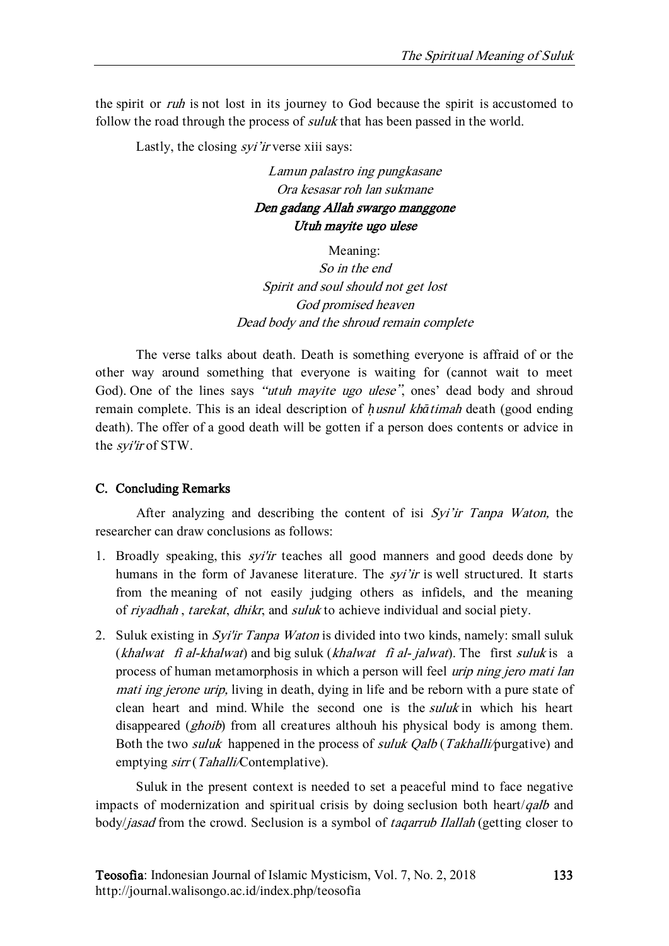the spirit or *ruh* is not lost in its journey to God because the spirit is accustomed to follow the road through the process of *suluk* that has been passed in the world.

Lastly, the closing *syi'ir* verse xiii says:

Lamun palastro ing pungkasane Ora kesasar roh lan sukmane Den gadang Allah swargo manggone Utuh mayite ugo ulese

Meaning:

So in the end Spirit and soul should not get lost God promised heaven Dead body and the shroud remain complete

The verse talks about death. Death is something everyone is affraid of or the other way around something that everyone is waiting for (cannot wait to meet God). One of the lines says "utuh mayite ugo ulese", ones' dead body and shroud remain complete. This is an ideal description of *ḥ*usnul kh*ā*timah death (good ending death). The offer of a good death will be gotten if a person does contents or advice in the *syi'ir* of STW.

# C. Concluding Remarks

After analyzing and describing the content of isi Syi'ir Tanpa Waton, the researcher can draw conclusions as follows:

- 1. Broadly speaking, this syi'ir teaches all good manners and good deeds done by humans in the form of Javanese literature. The *syi'ir* is well structured. It starts from the meaning of not easily judging others as infidels, and the meaning of riyadhah , tarekat, dhikr, and suluk to achieve individual and social piety.
- 2. Suluk existing in Syi'ir Tanpa Waton is divided into two kinds, namely: small suluk (khalwat fi al-khalwat) and big suluk (khalwat fi al- jalwat). The first suluk is a process of human metamorphosis in which a person will feel urip ning jero mati lan mati ing jerone urip, living in death, dying in life and be reborn with a pure state of clean heart and mind. While the second one is the *suluk* in which his heart disappeared (*ghoib*) from all creatures althouh his physical body is among them. Both the two *suluk* happened in the process of *suluk Oalb* (Takhalli/purgative) and emptying sirr (Tahalli/Contemplative).

Suluk in the present context is needed to set a peaceful mind to face negative impacts of modernization and spiritual crisis by doing seclusion both heart/qalb and body/jasad from the crowd. Seclusion is a symbol of taqarrub Ilallah (getting closer to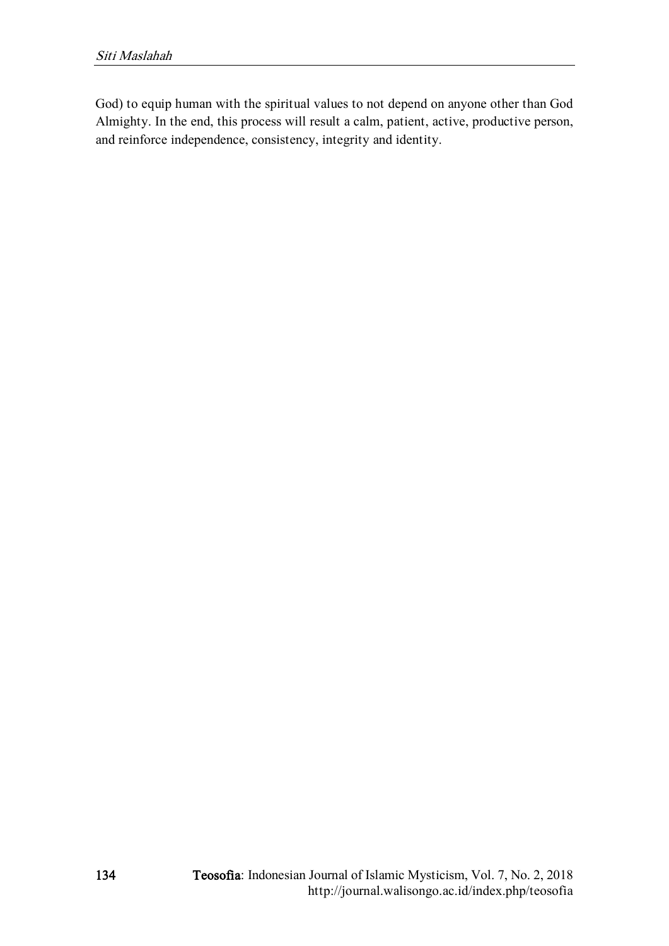God) to equip human with the spiritual values to not depend on anyone other than God Almighty. In the end, this process will result a calm, patient, active, productive person, and reinforce independence, consistency, integrity and identity.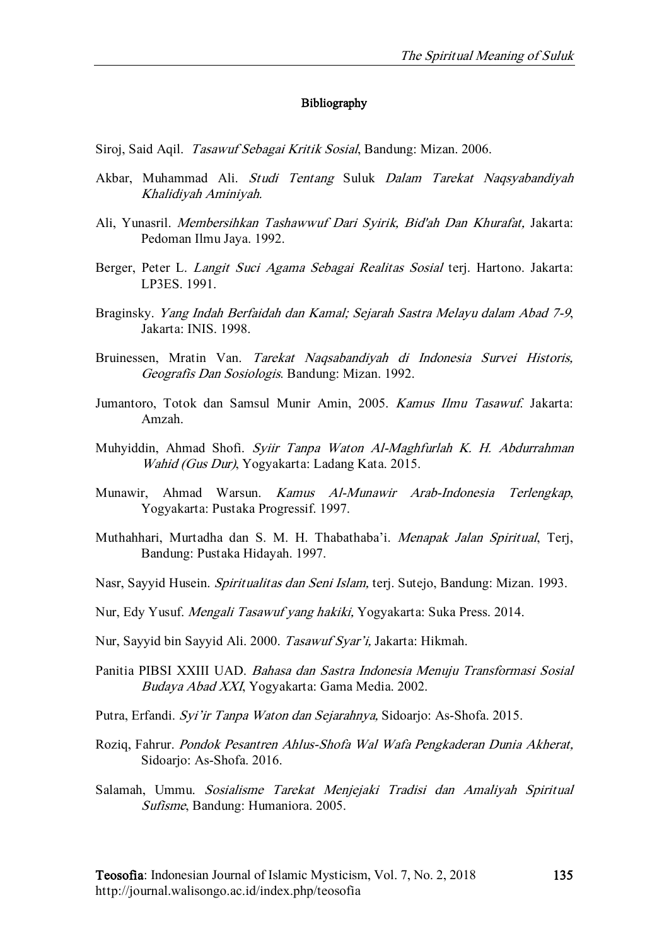#### Bibliography

Siroj, Said Aqil. Tasawuf Sebagai Kritik Sosial, Bandung: Mizan. 2006.

- Akbar, Muhammad Ali. Studi Tentang Suluk Dalam Tarekat Naqsyabandiyah Khalidiyah Aminiyah.
- Ali, Yunasril. Membersihkan Tashawwuf Dari Syirik, Bid'ah Dan Khurafat, Jakarta: Pedoman Ilmu Jaya. 1992.
- Berger, Peter L. *Langit Suci Agama Sebagai Realitas Sosial* teri. Hartono. Jakarta: LP3ES. 1991.
- Braginsky. Yang Indah Berfaidah dan Kamal; Sejarah Sastra Melayu dalam Abad 7-9, Jakarta: INIS. 1998.
- Bruinessen, Mratin Van. Tarekat Naqsabandiyah di Indonesia Survei Historis, Geografis Dan Sosiologis. Bandung: Mizan. 1992.
- Jumantoro, Totok dan Samsul Munir Amin, 2005. Kamus Ilmu Tasawuf. Jakarta: Amzah.
- Muhyiddin, Ahmad Shofi. Syiir Tanpa Waton Al-Maghfurlah K. H. Abdurrahman Wahid (Gus Dur), Yogyakarta: Ladang Kata. 2015.
- Munawir, Ahmad Warsun. Kamus Al-Munawir Arab-Indonesia Terlengkap, Yogyakarta: Pustaka Progressif. 1997.
- Muthahhari, Murtadha dan S. M. H. Thabathaba'i. Menapak Jalan Spiritual, Terj, Bandung: Pustaka Hidayah. 1997.
- Nasr, Sayyid Husein. Spiritualitas dan Seni Islam, terj. Sutejo, Bandung: Mizan. 1993.
- Nur, Edy Yusuf. Mengali Tasawuf yang hakiki, Yogyakarta: Suka Press. 2014.
- Nur, Sayyid bin Sayyid Ali. 2000. Tasawuf Syar'i, Jakarta: Hikmah.
- Panitia PIBSI XXIII UAD. Bahasa dan Sastra Indonesia Menuju Transformasi Sosial Budaya Abad XXI, Yogyakarta: Gama Media. 2002.
- Putra, Erfandi. Syi'ir Tanpa Waton dan Sejarahnya, Sidoarjo: As-Shofa. 2015.
- Roziq, Fahrur. Pondok Pesantren Ahlus-Shofa Wal Wafa Pengkaderan Dunia Akherat, Sidoarjo: As-Shofa. 2016.
- Salamah, Ummu. Sosialisme Tarekat Menjejaki Tradisi dan Amaliyah Spiritual Sufisme, Bandung: Humaniora. 2005.